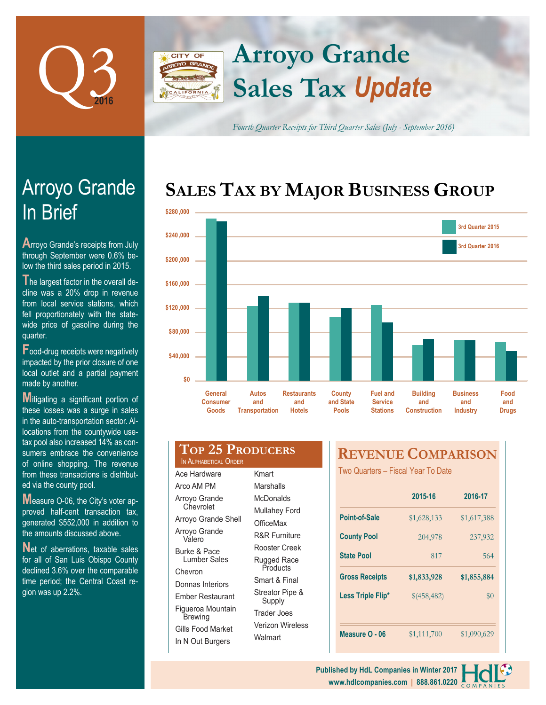

### **Arroyo Grande** CITY OF **Sales Tax** *Update*

*Fourth Quarter Receipts for Third Quarter Sales (July - September 2016)*

# **SALES TAX BY MAJOR BUSINESS GROUP**



# In Brief Arroyo Grande

**A**rroyo Grande's receipts from July through September were 0.6% below the third sales period in 2015.

**T**he largest factor in the overall decline was a 20% drop in revenue from local service stations, which fell proportionately with the statewide price of gasoline during the quarter.

**F**ood-drug receipts were negatively impacted by the prior closure of one local outlet and a partial payment made by another.

**M**itigating a significant portion of these losses was a surge in sales in the auto-transportation sector. Allocations from the countywide usetax pool also increased 14% as consumers embrace the convenience of online shopping. The revenue from these transactions is distributed via the county pool.

**M**easure O-06, the City's voter approved half-cent transaction tax, generated \$552,000 in addition to the amounts discussed above.

Net of aberrations, taxable sales for all of San Luis Obispo County declined 3.6% over the comparable time period; the Central Coast region was up 2.2%.

| <b>TOP 25 PRODUCERS</b><br>IN ALPHARETICAL ORDER |       |
|--------------------------------------------------|-------|
| Ace Hardware                                     | Kmart |

| Arco AM PM                          |
|-------------------------------------|
| Arroyo Grande<br>Chevrolet          |
| Arroyo Grande Shell                 |
| Arroyo Grande<br>Valero             |
| Burke & Pace<br><b>Lumber Sales</b> |
| Chevron                             |
| Donnas Interiors                    |
| Ember Restaurant                    |
| Figueroa Mountain<br>Brewing        |
| Gills Food Market                   |
| In N Out Burgers                    |

Kmart **Marshalls McDonalds** Mullahey Ford **OfficeMax** R&R Furniture Rooster Creek Rugged Race **Products** Smart & Final Streator Pipe & Supply Trader Joes Verizon Wireless **Walmart** 

# **REVENUE COMPARISON**

Two Quarters – Fiscal Year To Date

|                       | 2015-16     | 2016-17     |  |
|-----------------------|-------------|-------------|--|
| Point-of-Sale         | \$1,628,133 | \$1,617,388 |  |
| <b>County Pool</b>    | 204,978     | 237,932     |  |
| <b>State Pool</b>     | 817         | 564         |  |
|                       |             |             |  |
| <b>Gross Receipts</b> | \$1,833,928 | \$1,855,884 |  |
| Less Triple Flip*     | \$(458,482) | $\$0$       |  |
|                       |             |             |  |